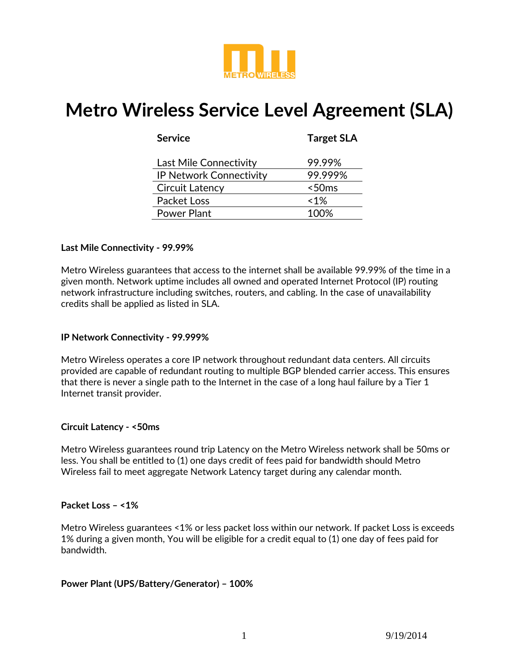

# **Metro Wireless Service Level Agreement (SLA)**

| <b>Service</b>                 | <b>Target SLA</b> |
|--------------------------------|-------------------|
| Last Mile Connectivity         | 99.99%            |
| <b>IP Network Connectivity</b> | 99.999%           |
| <b>Circuit Latency</b>         | $<$ 50 $ms$       |
| Packet Loss                    | $~1\%$            |
| Power Plant                    | 100%              |

## **Last Mile Connectivity - 99.99%**

Metro Wireless guarantees that access to the internet shall be available 99.99% of the time in a given month. Network uptime includes all owned and operated Internet Protocol (IP) routing network infrastructure including switches, routers, and cabling. In the case of unavailability credits shall be applied as listed in SLA.

#### **IP Network Connectivity - 99.999%**

Metro Wireless operates a core IP network throughout redundant data centers. All circuits provided are capable of redundant routing to multiple BGP blended carrier access. This ensures that there is never a single path to the Internet in the case of a long haul failure by a Tier 1 Internet transit provider.

#### **Circuit Latency - <50ms**

Metro Wireless guarantees round trip Latency on the Metro Wireless network shall be 50ms or less. You shall be entitled to (1) one days credit of fees paid for bandwidth should Metro Wireless fail to meet aggregate Network Latency target during any calendar month.

#### **Packet Loss – <1%**

Metro Wireless guarantees <1% or less packet loss within our network. If packet Loss is exceeds 1% during a given month, You will be eligible for a credit equal to (1) one day of fees paid for bandwidth.

#### **Power Plant (UPS/Battery/Generator) – 100%**